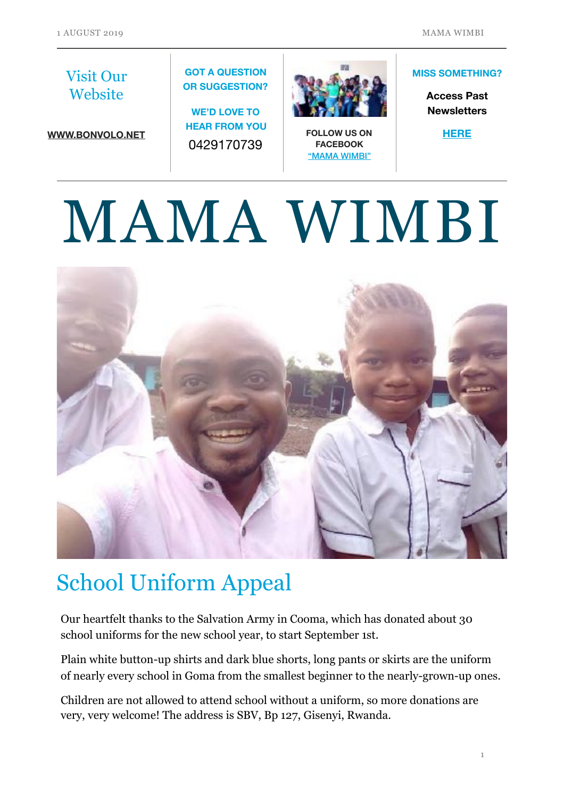#### Visit Our **Website**

**[WWW.BONVOLO.NET](http://www.bonvolo.net)**

#### **GOT A QUESTION OR SUGGESTION?**

**WE'D LOVE TO HEAR FROM YOU**  0429170739



**FOLLOW US ON FACEBOOK**  ["MAMA WIMBI"](https://www.facebook.com/Mama-Wimbi-305021906823329)

#### **MISS SOMETHING?**

**Access Past Newsletters** 

**[HERE](https://www.bonvolo.net/newsletters)**

# MAMA WIMBI



## School Uniform Appeal

Our heartfelt thanks to the Salvation Army in Cooma, which has donated about 30 school uniforms for the new school year, to start September 1st.

Plain white button-up shirts and dark blue shorts, long pants or skirts are the uniform of nearly every school in Goma from the smallest beginner to the nearly-grown-up ones.

Children are not allowed to attend school without a uniform, so more donations are very, very welcome! The address is SBV, Bp 127, Gisenyi, Rwanda.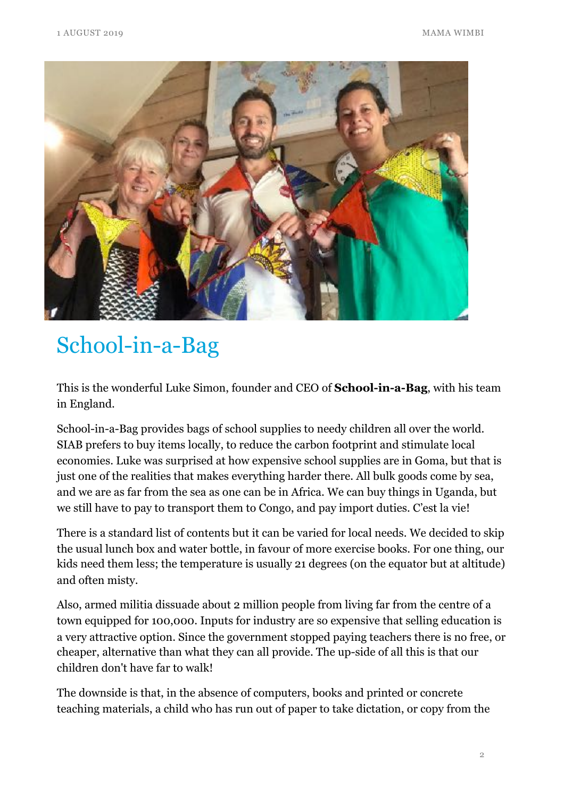

## School-in-a-Bag

This is the wonderful Luke Simon, founder and CEO of **School-in-a-Bag**, with his team in England.

School-in-a-Bag provides bags of school supplies to needy children all over the world. SIAB prefers to buy items locally, to reduce the carbon footprint and stimulate local economies. Luke was surprised at how expensive school supplies are in Goma, but that is just one of the realities that makes everything harder there. All bulk goods come by sea, and we are as far from the sea as one can be in Africa. We can buy things in Uganda, but we still have to pay to transport them to Congo, and pay import duties. C'est la vie!

There is a standard list of contents but it can be varied for local needs. We decided to skip the usual lunch box and water bottle, in favour of more exercise books. For one thing, our kids need them less; the temperature is usually 21 degrees (on the equator but at altitude) and often misty.

Also, armed militia dissuade about 2 million people from living far from the centre of a town equipped for 100,000. Inputs for industry are so expensive that selling education is a very attractive option. Since the government stopped paying teachers there is no free, or cheaper, alternative than what they can all provide. The up-side of all this is that our children don't have far to walk!

The downside is that, in the absence of computers, books and printed or concrete teaching materials, a child who has run out of paper to take dictation, or copy from the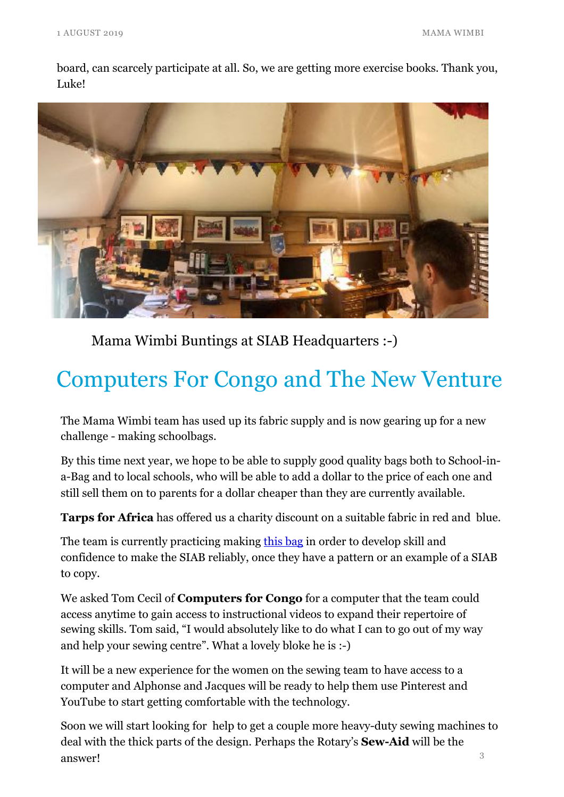board, can scarcely participate at all. So, we are getting more exercise books. Thank you, Luke!



Mama Wimbi Buntings at SIAB Headquarters :-)

## Computers For Congo and The New Venture

The Mama Wimbi team has used up its fabric supply and is now gearing up for a new challenge - making schoolbags.

By this time next year, we hope to be able to supply good quality bags both to School-ina-Bag and to local schools, who will be able to add a dollar to the price of each one and still sell them on to parents for a dollar cheaper than they are currently available.

**Tarps for Africa** has offered us a charity discount on a suitable fabric in red and blue.

The team is currently practicing making [this bag](https://www.youtube.com/watch?v=ollUnTpRWmg) in order to develop skill and confidence to make the SIAB reliably, once they have a pattern or an example of a SIAB to copy.

We asked Tom Cecil of **Computers for Congo** for a computer that the team could access anytime to gain access to instructional videos to expand their repertoire of sewing skills. Tom said, "I would absolutely like to do what I can to go out of my way and help your sewing centre". What a lovely bloke he is :-)

It will be a new experience for the women on the sewing team to have access to a computer and Alphonse and Jacques will be ready to help them use Pinterest and YouTube to start getting comfortable with the technology.

3 Soon we will start looking for help to get a couple more heavy-duty sewing machines to deal with the thick parts of the design. Perhaps the Rotary's **Sew-Aid** will be the answer!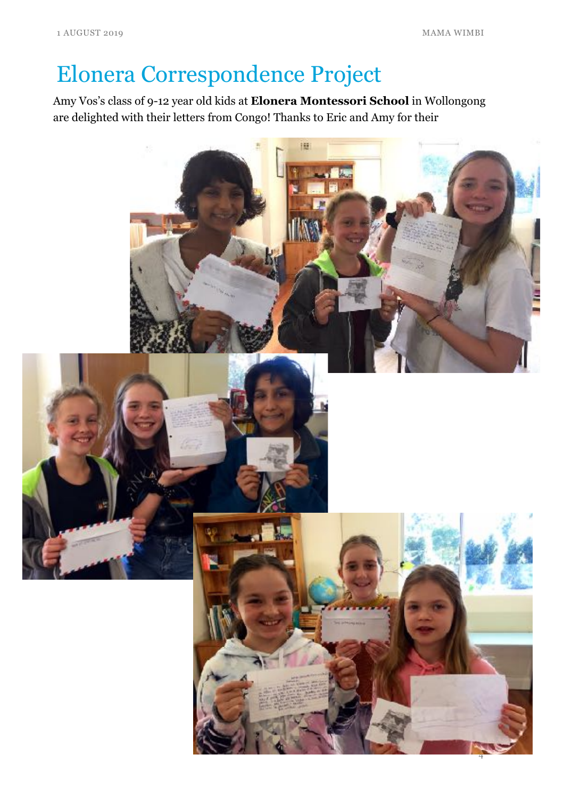# Elonera Correspondence Project

Amy Vos's class of 9-12 year old kids at **Elonera Montessori School** in Wollongong are delighted with their letters from Congo! Thanks to Eric and Amy for their

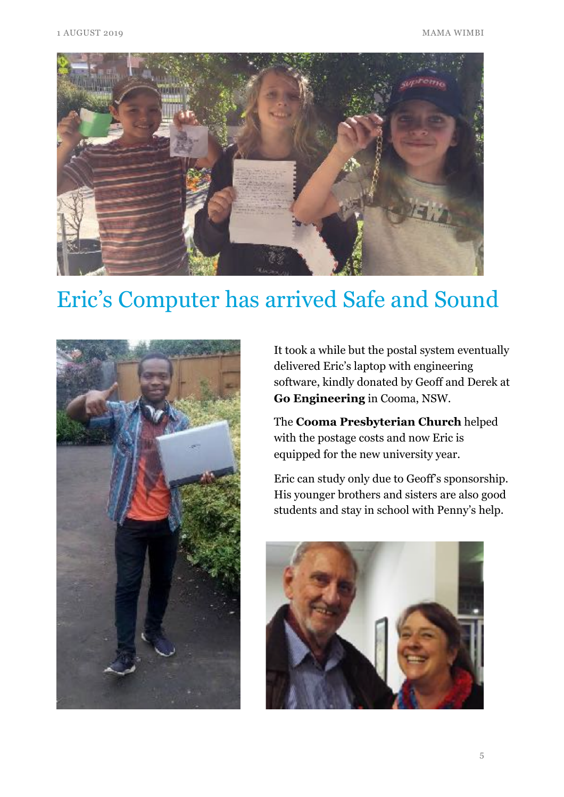

#### Eric's Computer has arrived Safe and Sound



It took a while but the postal system eventually delivered Eric's laptop with engineering software, kindly donated by Geoff and Derek at **Go Engineering** in Cooma, NSW.

The **Cooma Presbyterian Church** helped with the postage costs and now Eric is equipped for the new university year.

Eric can study only due to Geoff's sponsorship. His younger brothers and sisters are also good students and stay in school with Penny's help.